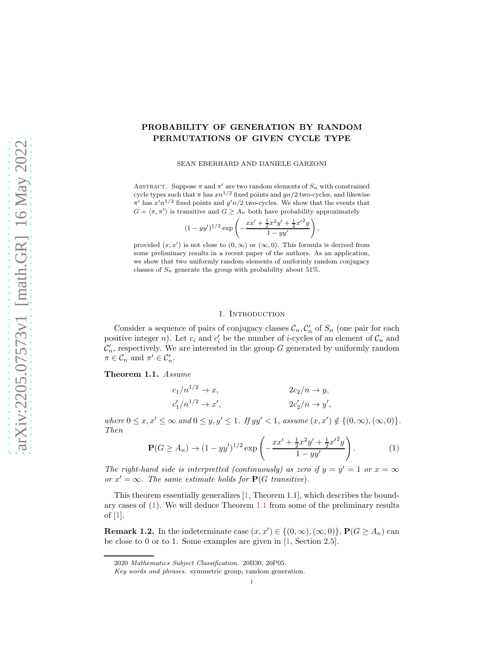# arXiv:2205.07573v1 [math.GR] 16 May 2022 [arXiv:2205.07573v1 \[math.GR\] 16 May 2022](http://arxiv.org/abs/2205.07573v1)

# PROBABILITY OF GENERATION BY RANDOM PERMUTATIONS OF GIVEN CYCLE TYPE

SEAN EBERHARD AND DANIELE GARZONI

ABSTRACT. Suppose  $\pi$  and  $\pi'$  are two random elements of  $S_n$  with constrained cycle types such that  $\pi$  has  $xn^{1/2}$  fixed points and  $yn/2$  two-cycles, and likewise  $\pi'$  has  $x'n^{1/2}$  fixed points and  $y'n/2$  two-cycles. We show that the events that  $G = \langle \pi, \pi' \rangle$  is transitive and  $G \geq A_n$  both have probability approximately

$$
(1 - yy')^{1/2} \exp\left(-\frac{xx' + \frac{1}{2}x^2y' + \frac{1}{2}x'^2y}{1 - yy'}\right),\,
$$

provided  $(x, x')$  is not close to  $(0, \infty)$  or  $(\infty, 0)$ . This formula is derived from some preliminary results in a recent paper of the authors. As an application, we show that two uniformly random elements of uniformly random conjugacy classes of  $S_n$  generate the group with probability about 51%.

### 1. INTRODUCTION

Consider a sequence of pairs of conjugacy classes  $\mathcal{C}_n$ ,  $\mathcal{C}'_n$  of  $S_n$  (one pair for each positive integer n). Let  $c_i$  and  $c'_i$  be the number of *i*-cycles of an element of  $\mathcal{C}_n$  and  $\mathcal{C}'_n$ , respectively. We are interested in the group G generated by uniformly random  $\pi \in \mathcal{C}_n$  and  $\pi' \in \mathcal{C}'_n$ .

## <span id="page-0-1"></span>Theorem 1.1. Assume

$$
c_1/n^{1/2} \to x,
$$
  
\n
$$
c'_1/n^{1/2} \to x',
$$
  
\n
$$
2c_2/n \to y,
$$
  
\n
$$
2c'_2/n \to y',
$$

where  $0 \leq x, x' \leq \infty$  and  $0 \leq y, y' \leq 1$ . If  $yy' < 1$ , assume  $(x, x') \notin \{(0, \infty), (\infty, 0)\}.$ Then

<span id="page-0-0"></span>
$$
\mathbf{P}(G \ge A_n) \to (1 - yy')^{1/2} \exp\left(-\frac{xx' + \frac{1}{2}x^2y' + \frac{1}{2}x'^2y}{1 - yy'}\right). \tag{1}
$$

The right-hand side is interpretted (continuously) as zero if  $y = y' = 1$  or  $x = \infty$ or  $x' = \infty$ . The same estimate holds for  $P(G \text{ transitive})$ .

This theorem essentially generalizes [\[1,](#page-3-0) Theorem 1.1], which describes the boundary cases of [\(1\)](#page-0-0). We will deduce Theorem [1.1](#page-0-1) from some of the preliminary results of [\[1\]](#page-3-0).

<span id="page-0-2"></span>**Remark 1.2.** In the indeterminate case  $(x, x') \in \{(0, \infty), (\infty, 0)\}, P(G \ge A_n)$  can be close to 0 or to 1. Some examples are given in [\[1,](#page-3-0) Section 2.5].

<sup>2020</sup> Mathematics Subject Classification. 20B30, 20P05.

Key words and phrases. symmetric group, random generation.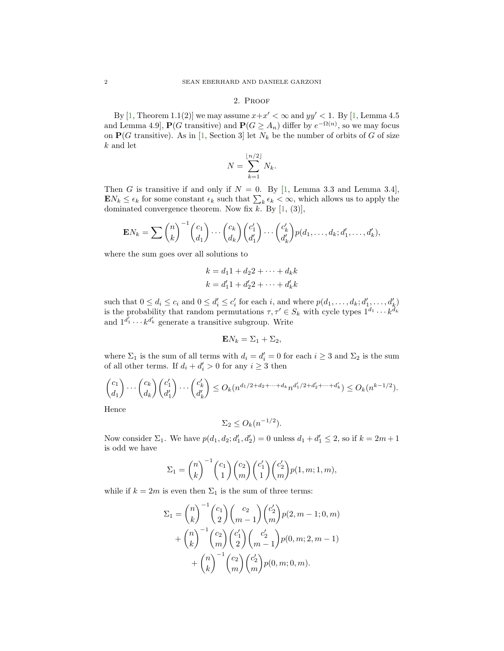### 2. Proof

<span id="page-1-0"></span>By [\[1,](#page-3-0) Theorem 1.1(2)] we may assume  $x+x' < \infty$  and  $yy' < 1$ . By [1, Lemma 4.5] and Lemma 4.9,  $P(G \text{ transitive})$  and  $P(G \geq A_n)$  differ by  $e^{-\Omega(n)}$ , so we may focus on  $P(G$  transitive). As in [\[1,](#page-3-0) Section 3] let  $N_k$  be the number of orbits of G of size k and let

$$
N = \sum_{k=1}^{\lfloor n/2 \rfloor} N_k.
$$

Then G is transitive if and only if  $N = 0$ . By [\[1,](#page-3-0) Lemma 3.3 and Lemma 3.4],  $\mathbf{E} N_k \leq \epsilon_k$  for some constant  $\epsilon_k$  such that  $\sum_k \epsilon_k < \infty$ , which allows us to apply the dominated convergence theorem. Now fix  $k$ . By  $[1, (3)]$ ,

$$
\mathbf{E}N_k = \sum \binom{n}{k}^{-1} \binom{c_1}{d_1} \cdots \binom{c_k}{d_k} \binom{c'_1}{d'_1} \cdots \binom{c'_k}{d'_k} p(d_1, \ldots, d_k; d'_1, \ldots, d'_k),
$$

where the sum goes over all solutions to

$$
k = d_1 1 + d_2 2 + \dots + d_k k
$$
  

$$
k = d'_1 1 + d'_2 2 + \dots + d'_k k
$$

such that  $0 \le d_i \le c_i$  and  $0 \le d'_i \le c'_i$  for each i, and where  $p(d_1, \ldots, d_k; d'_1, \ldots, d'_k)$ is the probability that random permutations  $\tau, \tau' \in S_k$  with cycle types  $1^{d_1} \cdots k^{d_k}$ and  $1^{d'_1} \cdots k^{d'_k}$  generate a transitive subgroup. Write

$$
\mathbf{E}N_k = \Sigma_1 + \Sigma_2,
$$

where  $\Sigma_1$  is the sum of all terms with  $d_i = d'_i = 0$  for each  $i \geq 3$  and  $\Sigma_2$  is the sum of all other terms. If  $d_i + d'_i > 0$  for any  $i \geq 3$  then

$$
\binom{c_1}{d_1} \cdots \binom{c_k}{d_k} \binom{c'_1}{d'_1} \cdots \binom{c'_k}{d'_k} \le O_k(n^{d_1/2 + d_2 + \cdots + d_k} n^{d'_1/2 + d'_2 + \cdots + d'_k}) \le O_k(n^{k-1/2}).
$$

Hence

$$
\Sigma_2 \le O_k(n^{-1/2}).
$$

Now consider  $\Sigma_1$ . We have  $p(d_1, d_2; d'_1, d'_2) = 0$  unless  $d_1 + d'_1 \le 2$ , so if  $k = 2m + 1$ is odd we have

$$
\Sigma_1 = {n \choose k}^{-1} {c_1 \choose 1} {c_2 \choose m} {c'_1 \choose 1} {c'_2 \choose m} p(1, m; 1, m),
$$

while if  $k = 2m$  is even then  $\Sigma_1$  is the sum of three terms:

$$
\Sigma_1 = {n \choose k}^{-1} {c_1 \choose 2} {c_2 \choose m-1} {c_2' \choose m} p(2, m-1; 0, m) + {n \choose k}^{-1} {c_2 \choose m} {c_1' \choose 2} {c_2' \choose m-1} p(0, m; 2, m-1) + {n \choose k}^{-1} {c_2 \choose m} {c_2' \choose m} p(0, m; 0, m).
$$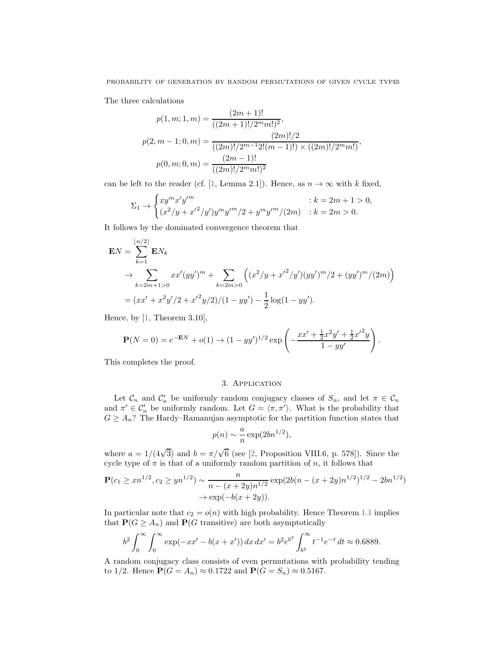The three calculations

$$
p(1, m; 1, m) = \frac{(2m + 1)!}{((2m + 1)!/2^m m!)^2},
$$
  

$$
p(2, m - 1; 0, m) = \frac{(2m)!}{((2m)!/2^{m-1}2!(m - 1)!)} \times ((2m)!/2^m m!)},
$$
  

$$
p(0, m; 0, m) = \frac{(2m - 1)!}{((2m)!/2^m m!)^2}
$$

can be left to the reader (cf. [\[1,](#page-3-0) Lemma 2.1]). Hence, as  $n \to \infty$  with k fixed,

$$
\Sigma_1 \to \begin{cases} xy^m x' y'^m & \text{if } k = 2m + 1 > 0, \\ (x^2/y + x'^2/y') y^m y'^m / 2 + y^m y'^m / (2m) & \text{if } k = 2m > 0. \end{cases}
$$

It follows by the dominated convergence theorem that

$$
\mathbf{E}N = \sum_{k=1}^{\lfloor n/2 \rfloor} \mathbf{E}N_k
$$
  
\n
$$
\rightarrow \sum_{k=2m+1>0} xx'(yy')^m + \sum_{k=2m>0} \left( (x^2/y + x'^2/y')(yy')^m/2 + (yy')^m/(2m) \right)
$$
  
\n
$$
= (xx' + x^2y'/2 + x'^2y/2)/(1 - yy') - \frac{1}{2}\log(1 - yy').
$$

Hence, by [\[1,](#page-3-0) Theorem 3.10],

$$
\mathbf{P}(N=0) = e^{-\mathbf{E}N} + o(1) \rightarrow (1 - yy')^{1/2} \exp\left(-\frac{xx' + \frac{1}{2}x^2y' + \frac{1}{2}x'^2y}{1 - yy'}\right).
$$

<span id="page-2-0"></span>This completes the proof.

## 3. Application

Let  $\mathcal{C}_n$  and  $\mathcal{C}'_n$  be uniformly random conjugacy classes of  $S_n$ , and let  $\pi \in \mathcal{C}_n$ and  $\pi' \in C'_n$  be uniformly random. Let  $G = \langle \pi, \pi' \rangle$ . What is the probability that  $G \geq A_n$ ? The Hardy–Ramanujan asymptotic for the partition function states that

$$
p(n) \sim \frac{a}{n} \exp(2bn^{1/2}),
$$

where  $a = 1/(4\sqrt{3})$  and  $b = \pi/\sqrt{6}$  (see [\[2,](#page-3-1) Proposition VIII.6, p. 578]). Since the cycle type of  $\pi$  is that of a uniformly random partition of n, it follows that

$$
\mathbf{P}(c_1 \geq xn^{1/2}, c_2 \geq yn^{1/2}) \sim \frac{n}{n - (x + 2y)n^{1/2}} \exp(2b(n - (x + 2y)n^{1/2})^{1/2} - 2bn^{1/2})
$$
  
 
$$
\rightarrow \exp(-b(x + 2y)).
$$

In particular note that  $c_2 = o(n)$  with high probability. Hence Theorem [1.1](#page-0-1) implies that  $P(G \geq A_n)$  and  $P(G$  transitive) are both asymptotically

$$
b^2 \int_0^\infty \int_0^\infty \exp(-xx' - b(x + x')) dx dx' = b^2 e^{b^2} \int_{b^2}^\infty t^{-1} e^{-t} dt \approx 0.6889.
$$

A random conjugacy class consists of even permutations with probability tending to 1/2. Hence  $P(G = A_n) \approx 0.1722$  and  $P(G = S_n) \approx 0.5167$ .